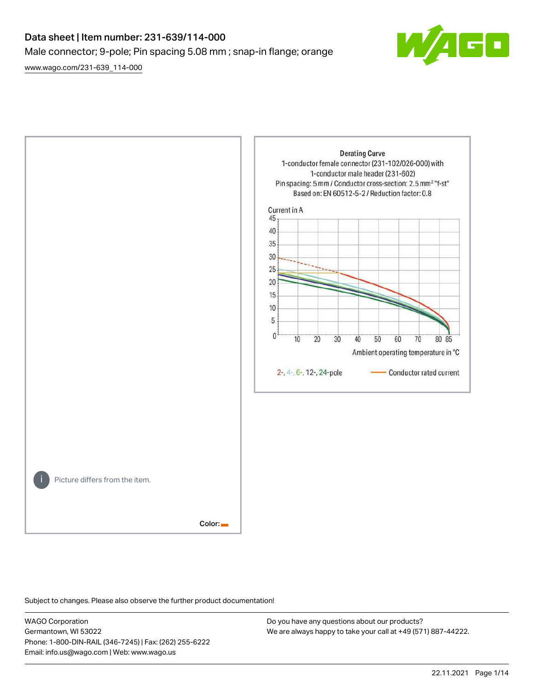# Data sheet | Item number: 231-639/114-000 Male connector; 9-pole; Pin spacing 5.08 mm ; snap-in flange; orange

[www.wago.com/231-639\\_114-000](http://www.wago.com/231-639_114-000)

 $\overline{\blacksquare}$ 

**Derating Curve** 1-conductor female connector (231-102/026-000) with 1-conductor male header (231-602) Pin spacing: 5 mm / Conductor cross-section: 2.5 mm<sup>2</sup> "f-st" Based on: EN 60512-5-2 / Reduction factor: 0.8 Current in A 45 40 35 30 25 20 15 10 5  $\mathbf{0}$  $\overline{10}$ 20 30 40 50 60 70 80 85 Ambient operating temperature in °C 2-, 4-, 6-, 12-, 24-pole Conductor rated current Picture differs from the item. Color:

Subject to changes. Please also observe the further product documentation!

WAGO Corporation Germantown, WI 53022 Phone: 1-800-DIN-RAIL (346-7245) | Fax: (262) 255-6222 Email: info.us@wago.com | Web: www.wago.us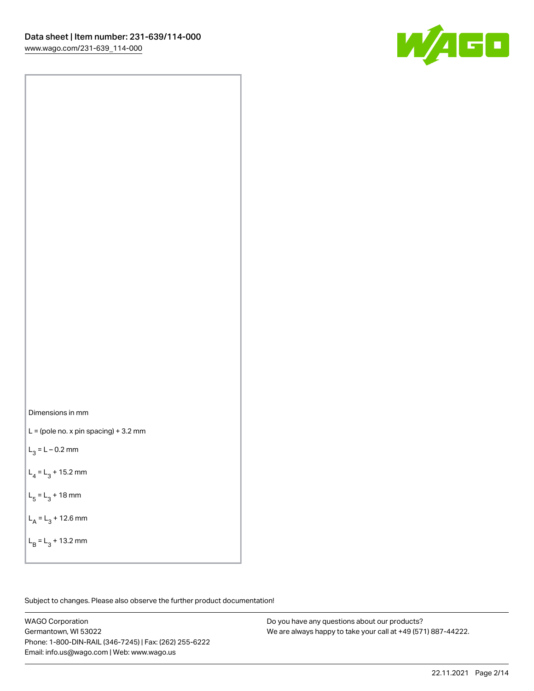

Dimensions in mm

 $L =$  (pole no. x pin spacing) + 3.2 mm

 $L_3 = L - 0.2$  mm

 $L_4 = L_3 + 15.2$  mm

 $L_5 = L_3 + 18$  mm

 $L_A = L_3 + 12.6$  mm

 $L_B = L_3 + 13.2$  mm

Subject to changes. Please also observe the further product documentation!

WAGO Corporation Germantown, WI 53022 Phone: 1-800-DIN-RAIL (346-7245) | Fax: (262) 255-6222 Email: info.us@wago.com | Web: www.wago.us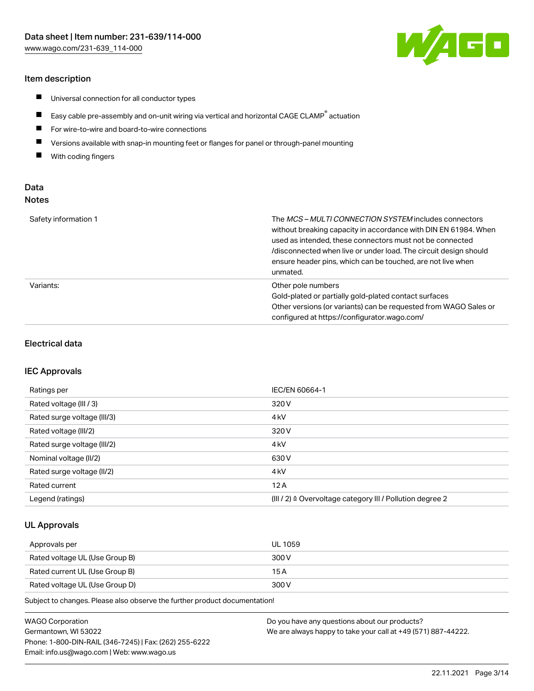### Item description

- $\blacksquare$ Universal connection for all conductor types
- $\blacksquare$ Easy cable pre-assembly and on-unit wiring via vertical and horizontal CAGE CLAMP<sup>®</sup> actuation
- $\blacksquare$ For wire-to-wire and board-to-wire connections
- $\blacksquare$ Versions available with snap-in mounting feet or flanges for panel or through-panel mounting
- $\blacksquare$ With coding fingers

# Data Notes

| Safety information 1 | The <i>MCS – MULTI CONNECTION SYSTEM</i> includes connectors<br>without breaking capacity in accordance with DIN EN 61984. When<br>used as intended, these connectors must not be connected<br>/disconnected when live or under load. The circuit design should<br>ensure header pins, which can be touched, are not live when<br>unmated. |
|----------------------|--------------------------------------------------------------------------------------------------------------------------------------------------------------------------------------------------------------------------------------------------------------------------------------------------------------------------------------------|
| Variants:            | Other pole numbers<br>Gold-plated or partially gold-plated contact surfaces<br>Other versions (or variants) can be requested from WAGO Sales or<br>configured at https://configurator.wago.com/                                                                                                                                            |

### Electrical data

#### IEC Approvals

| Ratings per                 | IEC/EN 60664-1                                                        |
|-----------------------------|-----------------------------------------------------------------------|
| Rated voltage (III / 3)     | 320 V                                                                 |
| Rated surge voltage (III/3) | 4 <sub>k</sub> V                                                      |
| Rated voltage (III/2)       | 320 V                                                                 |
| Rated surge voltage (III/2) | 4 <sub>k</sub> V                                                      |
| Nominal voltage (II/2)      | 630 V                                                                 |
| Rated surge voltage (II/2)  | 4 <sub>kV</sub>                                                       |
| Rated current               | 12A                                                                   |
| Legend (ratings)            | $(III / 2)$ $\triangle$ Overvoltage category III / Pollution degree 2 |

### UL Approvals

| Approvals per                  | UL 1059 |
|--------------------------------|---------|
| Rated voltage UL (Use Group B) | 300 V   |
| Rated current UL (Use Group B) | 15 A    |
| Rated voltage UL (Use Group D) | 300 V   |

Subject to changes. Please also observe the further product documentation!

| WAGO Corporation                                       | Do you have any questions about our products?                 |
|--------------------------------------------------------|---------------------------------------------------------------|
| Germantown. WI 53022                                   | We are always happy to take your call at +49 (571) 887-44222. |
| Phone: 1-800-DIN-RAIL (346-7245)   Fax: (262) 255-6222 |                                                               |
| Email: info.us@wago.com   Web: www.wago.us             |                                                               |

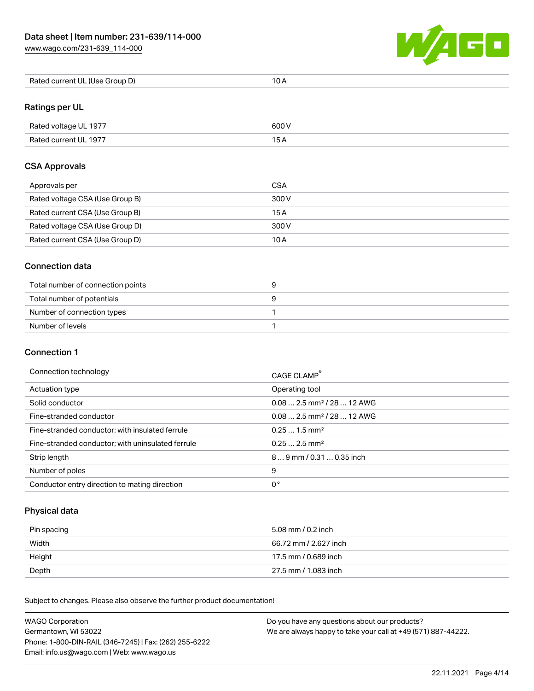[www.wago.com/231-639\\_114-000](http://www.wago.com/231-639_114-000)



| Rated current UL (Use Group D) | 10 A |
|--------------------------------|------|
|--------------------------------|------|

# Ratings per UL

| Rated voltage UL 1977 | 600 V |
|-----------------------|-------|
| Rated current UL 1977 |       |

### CSA Approvals

| Approvals per                   | CSA   |
|---------------------------------|-------|
| Rated voltage CSA (Use Group B) | 300 V |
| Rated current CSA (Use Group B) | 15 A  |
| Rated voltage CSA (Use Group D) | 300 V |
| Rated current CSA (Use Group D) | 10 A  |

### Connection data

| Total number of connection points |  |
|-----------------------------------|--|
| Total number of potentials        |  |
| Number of connection types        |  |
| Number of levels                  |  |

### Connection 1

#### Connection technology CAGE CLAMP®

|                                                   | <b>CAGE CLAMP</b>                      |
|---------------------------------------------------|----------------------------------------|
| Actuation type                                    | Operating tool                         |
| Solid conductor                                   | $0.082.5$ mm <sup>2</sup> / 28  12 AWG |
| Fine-stranded conductor                           | $0.082.5$ mm <sup>2</sup> / 28  12 AWG |
| Fine-stranded conductor; with insulated ferrule   | $0.251.5$ mm <sup>2</sup>              |
| Fine-stranded conductor; with uninsulated ferrule | $0.252.5$ mm <sup>2</sup>              |
| Strip length                                      | $89$ mm / 0.31  0.35 inch              |
| Number of poles                                   | 9                                      |
| Conductor entry direction to mating direction     | 0°                                     |

# Physical data

| Pin spacing | 5.08 mm / 0.2 inch    |
|-------------|-----------------------|
| Width       | 66.72 mm / 2.627 inch |
| Height      | 17.5 mm / 0.689 inch  |
| Depth       | 27.5 mm / 1.083 inch  |

Subject to changes. Please also observe the further product documentation! Mechanical data

| <b>WAGO Corporation</b>                                | Do you have any questions about our products?                 |
|--------------------------------------------------------|---------------------------------------------------------------|
| Germantown, WI 53022                                   | We are always happy to take your call at +49 (571) 887-44222. |
| Phone: 1-800-DIN-RAIL (346-7245)   Fax: (262) 255-6222 |                                                               |
| Email: info.us@wago.com   Web: www.wago.us             |                                                               |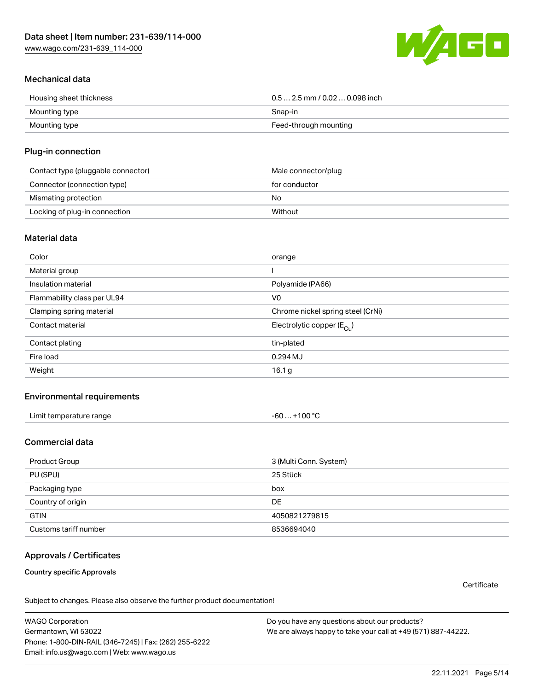W/160

### Mechanical data

| Housing sheet thickness | $0.5$ 2.5 mm / 0.02  0.098 inch |
|-------------------------|---------------------------------|
| Mounting type           | Snap-in                         |
| Mounting type           | Feed-through mounting           |

#### Plug-in connection

| Contact type (pluggable connector) | Male connector/plug |
|------------------------------------|---------------------|
| Connector (connection type)        | for conductor       |
| Mismating protection               | No                  |
| Locking of plug-in connection      | Without             |

#### Material data

| Color                       | orange                                |
|-----------------------------|---------------------------------------|
| Material group              |                                       |
| Insulation material         | Polyamide (PA66)                      |
| Flammability class per UL94 | V <sub>0</sub>                        |
| Clamping spring material    | Chrome nickel spring steel (CrNi)     |
| Contact material            | Electrolytic copper $(E_{\text{Cl}})$ |
| Contact plating             | tin-plated                            |
| Fire load                   | $0.294$ MJ                            |
| Weight                      | 16.1 <sub>g</sub>                     |

#### Environmental requirements

| Limit temperature range                                                                                             |           |
|---------------------------------------------------------------------------------------------------------------------|-----------|
| -60                                                                                                                 | $+100 °C$ |
| and the contract of the contract of the contract of the contract of the contract of the contract of the contract of |           |

# Commercial data

| Product Group         | 3 (Multi Conn. System) |
|-----------------------|------------------------|
| PU (SPU)              | 25 Stück               |
| Packaging type        | box                    |
| Country of origin     | DE                     |
| <b>GTIN</b>           | 4050821279815          |
| Customs tariff number | 8536694040             |

# Approvals / Certificates

Country specific Approvals

**Certificate** 

Subject to changes. Please also observe the further product documentation!

WAGO Corporation Germantown, WI 53022 Phone: 1-800-DIN-RAIL (346-7245) | Fax: (262) 255-6222 Email: info.us@wago.com | Web: www.wago.us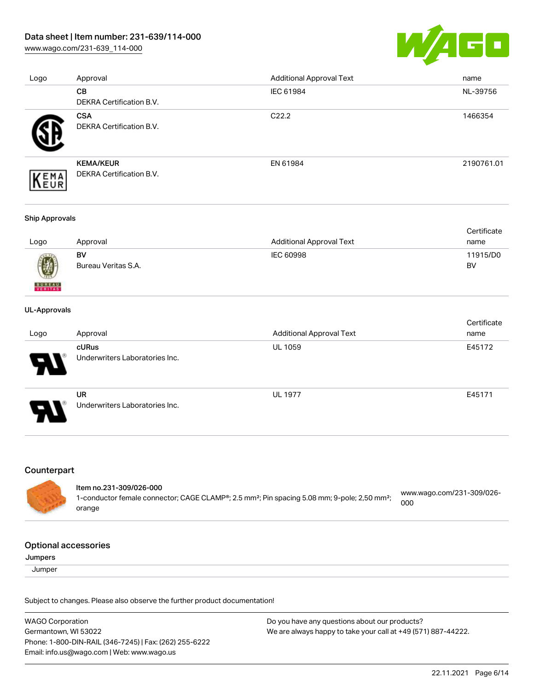[www.wago.com/231-639\\_114-000](http://www.wago.com/231-639_114-000)



| Logo | Approval                        | <b>Additional Approval Text</b> | name       |
|------|---------------------------------|---------------------------------|------------|
|      | <b>CB</b>                       | IEC 61984                       | NL-39756   |
|      | DEKRA Certification B.V.        |                                 |            |
|      | <b>CSA</b>                      | C <sub>22.2</sub>               | 1466354    |
|      | DEKRA Certification B.V.        |                                 |            |
|      | <b>KEMA/KEUR</b>                | EN 61984                        | 2190761.01 |
| EMA  | <b>DEKRA Certification B.V.</b> |                                 |            |

#### Ship Approvals

|      |                     |                          | Certificate |
|------|---------------------|--------------------------|-------------|
| Logo | Approval            | Additional Approval Text | name        |
|      | BV                  | IEC 60998                | 11915/D0    |
| 0    | Bureau Veritas S.A. |                          | BV          |

#### UL-Approvals

**BUREAU** 

| Logo                       | Approval                                    | <b>Additional Approval Text</b> | Certificate<br>name |
|----------------------------|---------------------------------------------|---------------------------------|---------------------|
| $\boldsymbol{\mathcal{P}}$ | cURus<br>Underwriters Laboratories Inc.     | <b>UL 1059</b>                  | E45172              |
| 8                          | <b>UR</b><br>Underwriters Laboratories Inc. | <b>UL 1977</b>                  | E45171              |

#### Counterpart

Item no.231-309/026-000 1-conductor female connector; CAGE CLAMP®; 2.5 mm²; Pin spacing 5.08 mm; 9-pole; 2,50 mm²; [www.wago.com/231-309/026-](https://www.wago.com/231-309/026-000) [000](https://www.wago.com/231-309/026-000)

#### Optional accessories

orange

Jumpers

**Jumper** 

Subject to changes. Please also observe the further product documentation!

WAGO Corporation Germantown, WI 53022 Phone: 1-800-DIN-RAIL (346-7245) | Fax: (262) 255-6222 Email: info.us@wago.com | Web: www.wago.us Do you have any questions about our products? We are always happy to take your call at +49 (571) 887-44222.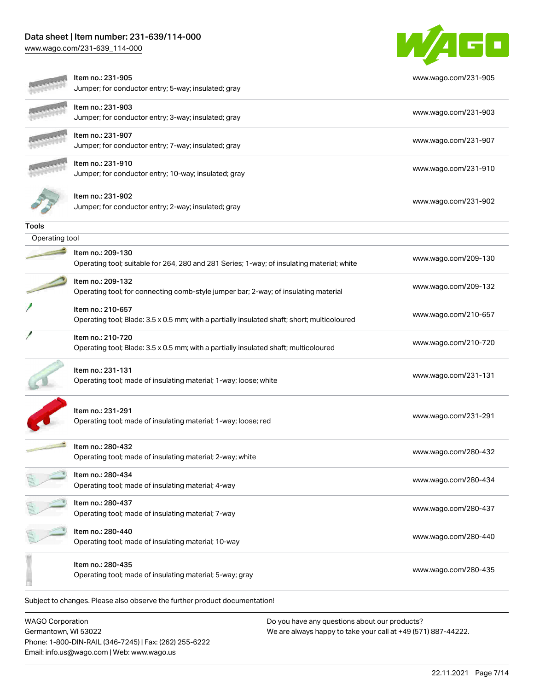[www.wago.com/231-639\\_114-000](http://www.wago.com/231-639_114-000)



|                | Item no.: 231-905<br>Jumper; for conductor entry; 5-way; insulated; gray                                         | www.wago.com/231-905 |
|----------------|------------------------------------------------------------------------------------------------------------------|----------------------|
|                | ltem no.: 231-903<br>Jumper; for conductor entry; 3-way; insulated; gray                                         | www.wago.com/231-903 |
|                | Item no.: 231-907<br>Jumper; for conductor entry; 7-way; insulated; gray                                         | www.wago.com/231-907 |
|                | Item no.: 231-910<br>Jumper; for conductor entry; 10-way; insulated; gray                                        | www.wago.com/231-910 |
|                | Item no.: 231-902<br>Jumper; for conductor entry; 2-way; insulated; gray                                         | www.wago.com/231-902 |
| Tools          |                                                                                                                  |                      |
| Operating tool |                                                                                                                  |                      |
|                | Item no.: 209-130<br>Operating tool; suitable for 264, 280 and 281 Series; 1-way; of insulating material; white  | www.wago.com/209-130 |
|                | Item no.: 209-132<br>Operating tool; for connecting comb-style jumper bar; 2-way; of insulating material         | www.wago.com/209-132 |
|                | Item no.: 210-657<br>Operating tool; Blade: 3.5 x 0.5 mm; with a partially insulated shaft; short; multicoloured | www.wago.com/210-657 |
|                | Item no.: 210-720<br>Operating tool; Blade: 3.5 x 0.5 mm; with a partially insulated shaft; multicoloured        | www.wago.com/210-720 |
|                | Item no.: 231-131<br>Operating tool; made of insulating material; 1-way; loose; white                            | www.wago.com/231-131 |
|                | Item no.: 231-291<br>Operating tool; made of insulating material; 1-way; loose; red                              | www.wago.com/231-291 |
|                | Item no.: 280-432<br>Operating tool; made of insulating material; 2-way; white                                   | www.wago.com/280-432 |
|                | Item no.: 280-434<br>Operating tool; made of insulating material; 4-way                                          | www.wago.com/280-434 |
|                | Item no.: 280-437<br>Operating tool; made of insulating material; 7-way                                          | www.wago.com/280-437 |
|                | Item no.: 280-440<br>Operating tool; made of insulating material; 10-way                                         | www.wago.com/280-440 |
|                | Item no.: 280-435<br>Operating tool; made of insulating material; 5-way; gray                                    | www.wago.com/280-435 |
|                | Subject to changes. Please also observe the further product documentation!                                       |                      |

WAGO Corporation Germantown, WI 53022 Phone: 1-800-DIN-RAIL (346-7245) | Fax: (262) 255-6222 Email: info.us@wago.com | Web: www.wago.us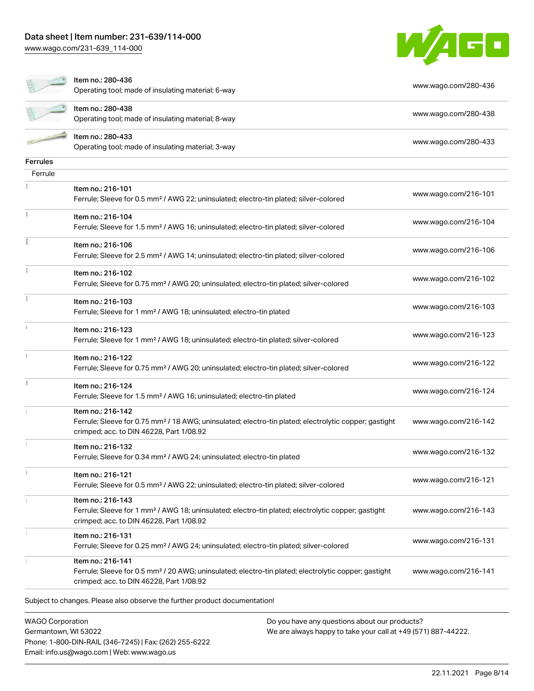[www.wago.com/231-639\\_114-000](http://www.wago.com/231-639_114-000)



|                 | Item no.: 280-436<br>Operating tool; made of insulating material; 6-way                                                                                                            | www.wago.com/280-436 |
|-----------------|------------------------------------------------------------------------------------------------------------------------------------------------------------------------------------|----------------------|
|                 | Item no.: 280-438<br>Operating tool; made of insulating material; 8-way                                                                                                            | www.wago.com/280-438 |
|                 | Item no.: 280-433<br>Operating tool; made of insulating material; 3-way                                                                                                            | www.wago.com/280-433 |
| <b>Ferrules</b> |                                                                                                                                                                                    |                      |
| Ferrule         |                                                                                                                                                                                    |                      |
|                 | Item no.: 216-101<br>Ferrule; Sleeve for 0.5 mm <sup>2</sup> / AWG 22; uninsulated; electro-tin plated; silver-colored                                                             | www.wago.com/216-101 |
|                 | Item no.: 216-104<br>Ferrule; Sleeve for 1.5 mm <sup>2</sup> / AWG 16; uninsulated; electro-tin plated; silver-colored                                                             | www.wago.com/216-104 |
|                 | Item no.: 216-106<br>Ferrule; Sleeve for 2.5 mm <sup>2</sup> / AWG 14; uninsulated; electro-tin plated; silver-colored                                                             | www.wago.com/216-106 |
|                 | Item no.: 216-102<br>Ferrule; Sleeve for 0.75 mm <sup>2</sup> / AWG 20; uninsulated; electro-tin plated; silver-colored                                                            | www.wago.com/216-102 |
|                 | Item no.: 216-103<br>Ferrule; Sleeve for 1 mm <sup>2</sup> / AWG 18; uninsulated; electro-tin plated                                                                               | www.wago.com/216-103 |
|                 | Item no.: 216-123<br>Ferrule; Sleeve for 1 mm <sup>2</sup> / AWG 18; uninsulated; electro-tin plated; silver-colored                                                               | www.wago.com/216-123 |
|                 | Item no.: 216-122<br>Ferrule; Sleeve for 0.75 mm <sup>2</sup> / AWG 20; uninsulated; electro-tin plated; silver-colored                                                            | www.wago.com/216-122 |
|                 | Item no.: 216-124<br>Ferrule; Sleeve for 1.5 mm <sup>2</sup> / AWG 16; uninsulated; electro-tin plated                                                                             | www.wago.com/216-124 |
|                 | Item no.: 216-142<br>Ferrule; Sleeve for 0.75 mm <sup>2</sup> / 18 AWG; uninsulated; electro-tin plated; electrolytic copper; gastight<br>crimped; acc. to DIN 46228, Part 1/08.92 | www.wago.com/216-142 |
|                 | Item no.: 216-132<br>Ferrule; Sleeve for 0.34 mm <sup>2</sup> / AWG 24; uninsulated; electro-tin plated                                                                            | www.wago.com/216-132 |
|                 | Item no.: 216-121<br>Ferrule; Sleeve for 0.5 mm <sup>2</sup> / AWG 22; uninsulated; electro-tin plated; silver-colored                                                             | www.wago.com/216-121 |
|                 | Item no.: 216-143<br>Ferrule; Sleeve for 1 mm <sup>2</sup> / AWG 18; uninsulated; electro-tin plated; electrolytic copper; gastight<br>crimped; acc. to DIN 46228, Part 1/08.92    | www.wago.com/216-143 |
|                 | Item no.: 216-131<br>Ferrule; Sleeve for 0.25 mm <sup>2</sup> / AWG 24; uninsulated; electro-tin plated; silver-colored                                                            | www.wago.com/216-131 |
|                 | Item no.: 216-141<br>Ferrule; Sleeve for 0.5 mm <sup>2</sup> / 20 AWG; uninsulated; electro-tin plated; electrolytic copper; gastight<br>crimped; acc. to DIN 46228, Part 1/08.92  | www.wago.com/216-141 |

WAGO Corporation Germantown, WI 53022 Phone: 1-800-DIN-RAIL (346-7245) | Fax: (262) 255-6222 Email: info.us@wago.com | Web: www.wago.us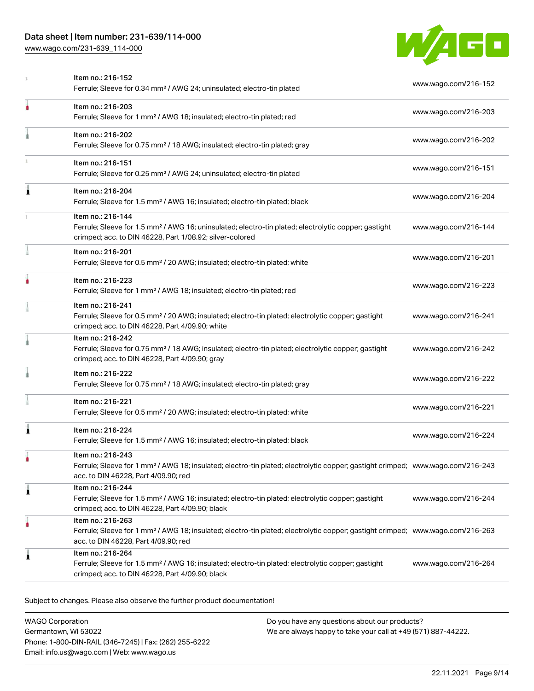[www.wago.com/231-639\\_114-000](http://www.wago.com/231-639_114-000)



|   | Item no.: 216-152<br>Ferrule; Sleeve for 0.34 mm <sup>2</sup> / AWG 24; uninsulated; electro-tin plated                                                                                                 | www.wago.com/216-152 |
|---|---------------------------------------------------------------------------------------------------------------------------------------------------------------------------------------------------------|----------------------|
|   | Item no.: 216-203<br>Ferrule; Sleeve for 1 mm <sup>2</sup> / AWG 18; insulated; electro-tin plated; red                                                                                                 | www.wago.com/216-203 |
|   | Item no.: 216-202<br>Ferrule; Sleeve for 0.75 mm <sup>2</sup> / 18 AWG; insulated; electro-tin plated; gray                                                                                             | www.wago.com/216-202 |
|   | Item no.: 216-151<br>Ferrule; Sleeve for 0.25 mm <sup>2</sup> / AWG 24; uninsulated; electro-tin plated                                                                                                 | www.wago.com/216-151 |
| Â | Item no.: 216-204<br>Ferrule; Sleeve for 1.5 mm <sup>2</sup> / AWG 16; insulated; electro-tin plated; black                                                                                             | www.wago.com/216-204 |
|   | Item no.: 216-144<br>Ferrule; Sleeve for 1.5 mm <sup>2</sup> / AWG 16; uninsulated; electro-tin plated; electrolytic copper; gastight<br>crimped; acc. to DIN 46228, Part 1/08.92; silver-colored       | www.wago.com/216-144 |
|   | Item no.: 216-201<br>Ferrule; Sleeve for 0.5 mm <sup>2</sup> / 20 AWG; insulated; electro-tin plated; white                                                                                             | www.wago.com/216-201 |
|   | Item no.: 216-223<br>Ferrule; Sleeve for 1 mm <sup>2</sup> / AWG 18; insulated; electro-tin plated; red                                                                                                 | www.wago.com/216-223 |
|   | Item no.: 216-241<br>Ferrule; Sleeve for 0.5 mm <sup>2</sup> / 20 AWG; insulated; electro-tin plated; electrolytic copper; gastight<br>crimped; acc. to DIN 46228, Part 4/09.90; white                  | www.wago.com/216-241 |
|   | Item no.: 216-242<br>Ferrule; Sleeve for 0.75 mm <sup>2</sup> / 18 AWG; insulated; electro-tin plated; electrolytic copper; gastight<br>crimped; acc. to DIN 46228, Part 4/09.90; gray                  | www.wago.com/216-242 |
|   | Item no.: 216-222<br>Ferrule; Sleeve for 0.75 mm <sup>2</sup> / 18 AWG; insulated; electro-tin plated; gray                                                                                             | www.wago.com/216-222 |
|   | Item no.: 216-221<br>Ferrule; Sleeve for 0.5 mm <sup>2</sup> / 20 AWG; insulated; electro-tin plated; white                                                                                             | www.wago.com/216-221 |
| Â | Item no.: 216-224<br>Ferrule; Sleeve for 1.5 mm <sup>2</sup> / AWG 16; insulated; electro-tin plated; black                                                                                             | www.wago.com/216-224 |
|   | Item no.: 216-243<br>Ferrule; Sleeve for 1 mm <sup>2</sup> / AWG 18; insulated; electro-tin plated; electrolytic copper; gastight crimped; www.wago.com/216-243<br>acc. to DIN 46228, Part 4/09.90; red |                      |
| 1 | Item no.: 216-244<br>Ferrule; Sleeve for 1.5 mm <sup>2</sup> / AWG 16; insulated; electro-tin plated; electrolytic copper; gastight<br>crimped; acc. to DIN 46228, Part 4/09.90; black                  | www.wago.com/216-244 |
|   | Item no.: 216-263<br>Ferrule; Sleeve for 1 mm <sup>2</sup> / AWG 18; insulated; electro-tin plated; electrolytic copper; gastight crimped; www.wago.com/216-263<br>acc. to DIN 46228, Part 4/09.90; red |                      |
| 1 | Item no.: 216-264<br>Ferrule; Sleeve for 1.5 mm <sup>2</sup> / AWG 16; insulated; electro-tin plated; electrolytic copper; gastight<br>crimped; acc. to DIN 46228, Part 4/09.90; black                  | www.wago.com/216-264 |
|   |                                                                                                                                                                                                         |                      |

Subject to changes. Please also observe the further product documentation!

WAGO Corporation Germantown, WI 53022 Phone: 1-800-DIN-RAIL (346-7245) | Fax: (262) 255-6222 Email: info.us@wago.com | Web: www.wago.us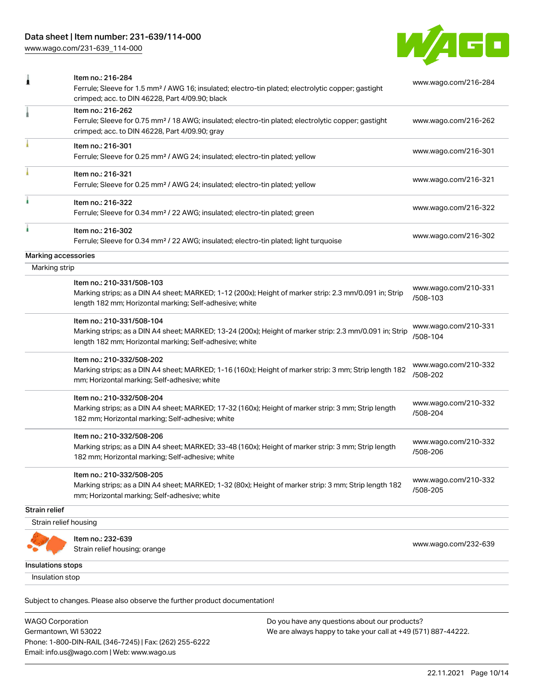[www.wago.com/231-639\\_114-000](http://www.wago.com/231-639_114-000)



|                       | Item no.: 216-284<br>Ferrule; Sleeve for 1.5 mm <sup>2</sup> / AWG 16; insulated; electro-tin plated; electrolytic copper; gastight<br>crimped; acc. to DIN 46228, Part 4/09.90; black          | www.wago.com/216-284             |
|-----------------------|-------------------------------------------------------------------------------------------------------------------------------------------------------------------------------------------------|----------------------------------|
|                       | Item no.: 216-262<br>Ferrule; Sleeve for 0.75 mm <sup>2</sup> / 18 AWG; insulated; electro-tin plated; electrolytic copper; gastight<br>crimped; acc. to DIN 46228, Part 4/09.90; gray          | www.wago.com/216-262             |
|                       | Item no.: 216-301<br>Ferrule; Sleeve for 0.25 mm <sup>2</sup> / AWG 24; insulated; electro-tin plated; yellow                                                                                   | www.wago.com/216-301             |
|                       | Item no.: 216-321<br>Ferrule; Sleeve for 0.25 mm <sup>2</sup> / AWG 24; insulated; electro-tin plated; yellow                                                                                   | www.wago.com/216-321             |
|                       | Item no.: 216-322<br>Ferrule; Sleeve for 0.34 mm <sup>2</sup> / 22 AWG; insulated; electro-tin plated; green                                                                                    | www.wago.com/216-322             |
|                       | Item no.: 216-302<br>Ferrule; Sleeve for 0.34 mm <sup>2</sup> / 22 AWG; insulated; electro-tin plated; light turquoise                                                                          | www.wago.com/216-302             |
| Marking accessories   |                                                                                                                                                                                                 |                                  |
| Marking strip         |                                                                                                                                                                                                 |                                  |
|                       | Item no.: 210-331/508-103<br>Marking strips; as a DIN A4 sheet; MARKED; 1-12 (200x); Height of marker strip: 2.3 mm/0.091 in; Strip<br>length 182 mm; Horizontal marking; Self-adhesive; white  | www.wago.com/210-331<br>/508-103 |
|                       | Item no.: 210-331/508-104<br>Marking strips; as a DIN A4 sheet; MARKED; 13-24 (200x); Height of marker strip: 2.3 mm/0.091 in; Strip<br>length 182 mm; Horizontal marking; Self-adhesive; white | www.wago.com/210-331<br>/508-104 |
|                       | Item no.: 210-332/508-202<br>Marking strips; as a DIN A4 sheet; MARKED; 1-16 (160x); Height of marker strip: 3 mm; Strip length 182<br>mm; Horizontal marking; Self-adhesive; white             | www.wago.com/210-332<br>/508-202 |
|                       | Item no.: 210-332/508-204<br>Marking strips; as a DIN A4 sheet; MARKED; 17-32 (160x); Height of marker strip: 3 mm; Strip length<br>182 mm; Horizontal marking; Self-adhesive; white            | www.wago.com/210-332<br>/508-204 |
|                       | Item no.: 210-332/508-206<br>Marking strips; as a DIN A4 sheet; MARKED; 33-48 (160x); Height of marker strip: 3 mm; Strip length<br>182 mm; Horizontal marking; Self-adhesive; white            | www.wago.com/210-332<br>/508-206 |
|                       | Item no.: 210-332/508-205<br>Marking strips; as a DIN A4 sheet; MARKED; 1-32 (80x); Height of marker strip: 3 mm; Strip length 182<br>mm; Horizontal marking; Self-adhesive; white              | www.wago.com/210-332<br>/508-205 |
| <b>Strain relief</b>  |                                                                                                                                                                                                 |                                  |
| Strain relief housing |                                                                                                                                                                                                 |                                  |
|                       | Item no.: 232-639<br>Strain relief housing; orange                                                                                                                                              | www.wago.com/232-639             |
| Insulations stops     |                                                                                                                                                                                                 |                                  |
| Insulation stop       |                                                                                                                                                                                                 |                                  |

WAGO Corporation Germantown, WI 53022 Phone: 1-800-DIN-RAIL (346-7245) | Fax: (262) 255-6222 Email: info.us@wago.com | Web: www.wago.us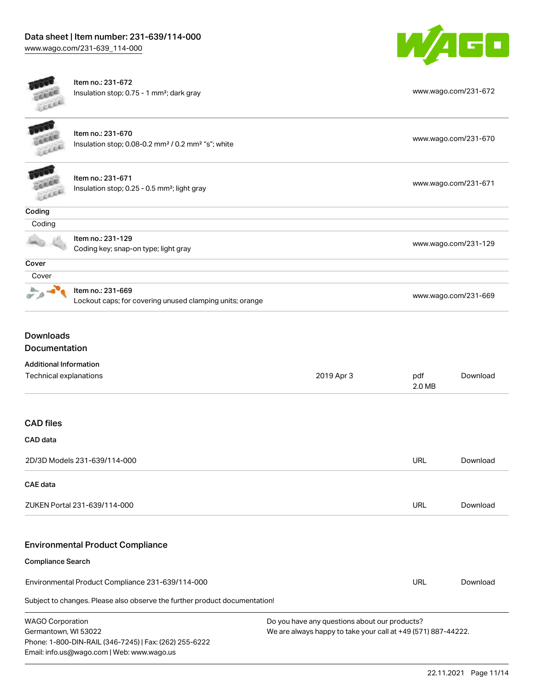

Item no.: 231-672 Insulation stop; 0.75 - 1 mm²; dark gray [www.wago.com/231-672](http://www.wago.com/231-672)

| <b>BERRY</b>     | Item no.: 231-670<br>Insulation stop; 0.08-0.2 mm <sup>2</sup> / 0.2 mm <sup>2</sup> "s"; white | www.wago.com/231-670 |
|------------------|-------------------------------------------------------------------------------------------------|----------------------|
| <b>DEED</b>      | Item no.: 231-671<br>Insulation stop; 0.25 - 0.5 mm <sup>2</sup> ; light gray                   | www.wago.com/231-671 |
| Coding           |                                                                                                 |                      |
| Coding           |                                                                                                 |                      |
|                  | Item no.: 231-129<br>Coding key; snap-on type; light gray                                       | www.wago.com/231-129 |
| Cover            |                                                                                                 |                      |
| Cover            |                                                                                                 |                      |
|                  | Item no.: 231-669<br>Lockout caps; for covering unused clamping units; orange                   | www.wago.com/231-669 |
| <b>Downloads</b> |                                                                                                 |                      |

Documentation

| Technical explanations                                                                                                                                  | 2019 Apr 3                                                                                                     | pdf<br>2.0 MB | Download |
|---------------------------------------------------------------------------------------------------------------------------------------------------------|----------------------------------------------------------------------------------------------------------------|---------------|----------|
| <b>CAD files</b>                                                                                                                                        |                                                                                                                |               |          |
| <b>CAD</b> data                                                                                                                                         |                                                                                                                |               |          |
| 2D/3D Models 231-639/114-000                                                                                                                            |                                                                                                                | <b>URL</b>    | Download |
| <b>CAE</b> data                                                                                                                                         |                                                                                                                |               |          |
| ZUKEN Portal 231-639/114-000                                                                                                                            |                                                                                                                | <b>URL</b>    | Download |
| <b>Environmental Product Compliance</b>                                                                                                                 |                                                                                                                |               |          |
| <b>Compliance Search</b>                                                                                                                                |                                                                                                                |               |          |
| Environmental Product Compliance 231-639/114-000                                                                                                        |                                                                                                                | <b>URL</b>    | Download |
| Subject to changes. Please also observe the further product documentation!                                                                              |                                                                                                                |               |          |
| <b>WAGO Corporation</b><br>Germantown, WI 53022<br>Phone: 1-800-DIN-RAIL (346-7245)   Fax: (262) 255-6222<br>Email: info.us@wago.com   Web: www.wago.us | Do you have any questions about our products?<br>We are always happy to take your call at +49 (571) 887-44222. |               |          |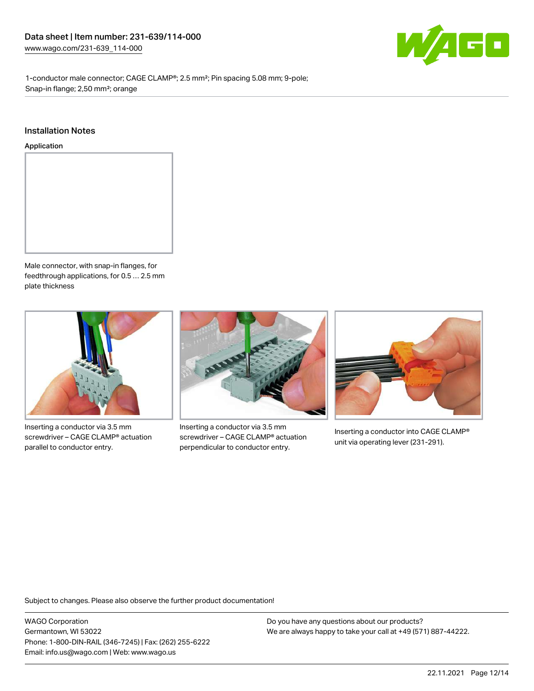

1-conductor male connector; CAGE CLAMP®; 2.5 mm²; Pin spacing 5.08 mm; 9-pole; Snap-in flange; 2,50 mm²; orange

#### Installation Notes

Application



Male connector, with snap-in flanges, for feedthrough applications, for 0.5 … 2.5 mm plate thickness



Inserting a conductor via 3.5 mm screwdriver – CAGE CLAMP® actuation parallel to conductor entry.



Inserting a conductor via 3.5 mm screwdriver – CAGE CLAMP® actuation perpendicular to conductor entry.



Inserting a conductor into CAGE CLAMP® unit via operating lever (231-291).

Subject to changes. Please also observe the further product documentation!

WAGO Corporation Germantown, WI 53022 Phone: 1-800-DIN-RAIL (346-7245) | Fax: (262) 255-6222 Email: info.us@wago.com | Web: www.wago.us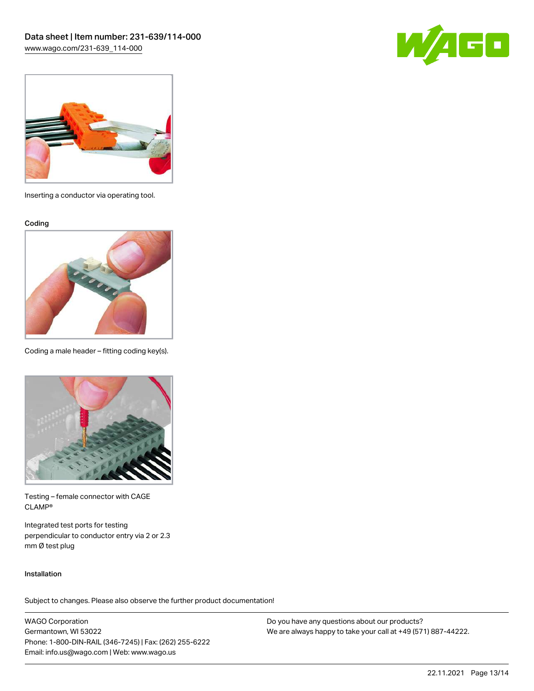



Inserting a conductor via operating tool.

Coding



Coding a male header – fitting coding key(s).



Testing – female connector with CAGE CLAMP®

Integrated test ports for testing perpendicular to conductor entry via 2 or 2.3 mm Ø test plug

#### Installation

Subject to changes. Please also observe the further product documentation!

WAGO Corporation Germantown, WI 53022 Phone: 1-800-DIN-RAIL (346-7245) | Fax: (262) 255-6222 Email: info.us@wago.com | Web: www.wago.us